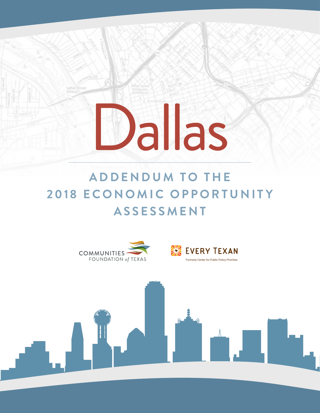# **ADDENDUM TO THE 2018 ECONOMIC OPPORTUNITY A S S E S S M E N T**

Dallas

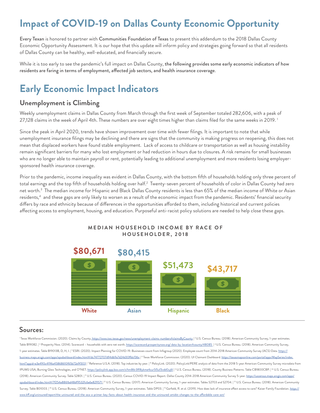## **Impact of COVID-19 on Dallas County Economic Opportunity**

Every Texan is honored to partner with Communities Foundation of Texas to present this addendum to the 2018 Dallas County Economic Opportunity Assessment. It is our hope that this update will inform policy and strategies going forward so that all residents of Dallas County can be healthy, well-educated, and financially secure.

While it is too early to see the pandemic's full impact on Dallas County, the following provides some early economic indicators of how residents are faring in terms of employment, affected job sectors, and health insurance coverage.

### **Early Economic Impact Indicators**

#### **Unemployment is Climbing**

Weekly unemployment claims in Dallas County from March through the first week of September totaled 282,606, with a peak of 27,128 claims in the week of April 4th. These numbers are over eight times higher than claims filed for the same weeks in 2019. 1

Since the peak in April 2020, trends have shown improvement over time with fewer filings. It is important to note that while unemployment insurance filings may be declining and there are signs that the community is making progress on reopening, this does not mean that displaced workers have found stable employment. Lack of access to childcare or transportation as well as housing instability remain significant barriers for many who lost employment or had reduction in hours due to closures. A risk remains for small businesses who are no longer able to maintain payroll or rent, potentially leading to additional unemployment and more residents losing employersponsored health insurance coverage.

Prior to the pandemic, income inequality was evident in Dallas County, with the bottom fifth of households holding only three percent of total earnings and the top fifth of households holding over half.<sup>2</sup> Twenty-seven percent of households of color in Dallas County had zero net worth.<sup>3</sup> The median income for Hispanic and Black Dallas County residents is less than 65% of the median income of White or Asian residents,<sup>4</sup> and these gaps are only likely to worsen as a result of the economic impact from the pandemic. Residents' financial security differs by race and ethnicity because of differences in the opportunities afforded to them, including historical and current policies affecting access to employment, housing, and education. Purposeful anti-racist policy solutions are needed to help close these gaps.



#### **MEDIAN HOUSEHOLD INCOME BY RACE OF HOUSEHOLDER, 2018**

#### **Sources:**

<sup>1</sup> Texas Workforce Commission. (2020). Claims by County. https://www.twc.texas.gov/news/unemployment-claims-numbers#claimsByCounty | <sup>2</sup> U.S. Census Bureau. (2018). American Community Survey, 1-year estimates. Table B19082. |<sup>3</sup> Prosperity Now. (2014). Scorecard – households with zero net worth. <u>https://scorecard.prosperitynow.org/ data-by-location#county/48085 |</u> 4U.S. Census Bureau. (2018). American Community Survey, 1-year estimates. Table B19013B, D, H, I. | <sup>5</sup> ESRI. (2020). Impact Planning for COVID-19. Businesses count from Infogroup (2020). Employee count from 2014-2018 American Community Survey (ACS) Data. https:// <u>business.maps.arcgis.com/apps/opsdashboard/index.html#/dc74772707d94db9a7d24d30ffdcf36c</u> | <sup>6</sup> Texas Workforce Commission. (2020). UI Claimant Dashboard. <u>https://texasmapsonline.com/portal/apps/MapSeries/index.</u> html?appid=e3e490c4196a45868610f65b72e9f303 | 7 Reference U.S.A. (2018). Top industries by year. | <sup>8</sup> PolicyLink. (2020). PolicyLink/PERE analysis of data from the 2018 5-year American Community Survey microdata from IPUMS USA, Burning Glass Technologies, and O\*NET. <u>https://policylink.app.box.com/s/hm86r3lfl8ykme4cur5l5uf3vdd0uj6l</u> |° U.S. Census Bureau. (2018). County Business Patterns. Table CB1800CBP. |'° U.S. Census Bureau. (2018). American Community Survey. Table S2801. | <sup>11</sup> U.S. Census Bureau. (2020). Census COVID-19 Impact Report. Dallas County 2014-2018 American Community Survey 5-year. https://uscensus.maps.arcgis.com/apps/ opsdashboard/index.html#/7f254e8861bd48df9532fc6e6e829571| <sup>12</sup> U.S. Census Bureau. (2017). American Community Survey, 1-year estimates. Tables S2703 and S2704. |<sup>13</sup> U.S. Census Bureau. (2018). American Community Survey. Table B01003. | <sup>14</sup> U.S. Census Bureau. (2018). American Community Survey, 1-year estimates. Table DP03. | <sup>15</sup> Garfield, R. et al. (2019). How does lack of insurance affect access to care? Kaiser Family Foundatio www.kff.org/uninsured/report/the-uninsured-and-the-aca-a-primer-key-facts-about-health-insurance-and-the-uninsured-amidst-changes-to-the-affordable-care-act/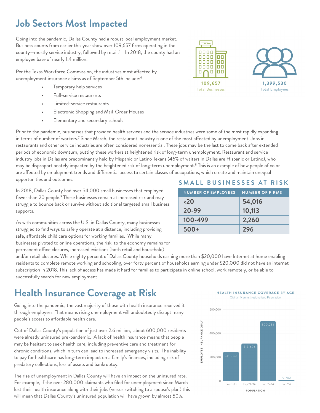#### **Job Sectors Most Impacted**

Going into the pandemic, Dallas County had a robust local employment market. Business counts from earlier this year show over 109,657 firms operating in the county—mostly service industry, followed by retail.<sup>5</sup> In 2018, the county had an employee base of nearly 1.4 million.

Per the Texas Workforce Commission, the industries most affected by unemployment insurance claims as of September 5th include:6

- Temporary help services
- Full-service restaurants
- Limited-service restaurants
- Electronic Shopping and Mail-Order Houses
- Elementary and secondary schools





Prior to the pandemic, businesses that provided health services and the service industries were some of the most rapidly expanding in terms of number of workers.<sup>7</sup> Since March, the restaurant industry is one of the most affected by unemployment. Jobs in restaurants and other service industries are often considered nonessential. These jobs may be the last to come back after extended periods of economic downturn, putting these workers at heightened risk of long-term unemployment. Restaurant and service industry jobs in Dallas are predominantly held by Hispanic or Latino Texans (46% of waiters in Dallas are Hispanic or Latino), who may be disproportionately impacted by the heightened risk of long-term unemployment.<sup>8</sup> This is an example of how people of color are affected by employment trends and differential access to certain classes of occupations, which create and maintain unequal opportunities and outcomes.

In 2018, Dallas County had over 54,000 small businesses that employed fewer than 20 people.<sup>9</sup> These businesses remain at increased risk and may struggle to bounce back or survive without additional targeted small business supports.

As with communities across the U.S. in Dallas County, many businesses struggled to find ways to safely operate at a distance, including providing safe, affordable child care options for working families. While many businesses pivoted to online operations, the risk to the economy remains for permanent office closures, increased evictions (both retail and household)

#### **SMALL BUSINESSES AT RISK**

| <b>NUMBER OF EMPLOYEES</b> | <b>NUMBER OF FIRMS</b> |
|----------------------------|------------------------|
| $20$                       | 54,016                 |
| 20-99                      | 10,113                 |
| 100-499                    | 2,260                  |
| $500+$                     | 296                    |

and/or retail closures. While eighty percent of Dallas County households earning more than \$20,000 have Internet at home enabling residents to complete remote working and schooling, over forty percent of households earning under \$20,000 did not have an internet subscription in 2018. This lack of access has made it hard for families to participate in online school, work remotely, or be able to successfully search for new employment.

## **Health Insurance Coverage at Risk**

Going into the pandemic, the vast majority of those with health insurance received it through employers. That means rising unemployment will undoubtedly disrupt many people's access to affordable health care.

Out of Dallas County's population of just over 2.6 million, about 600,000 residents were already uninsured pre-pandemic. A lack of health insurance means that people may be hesitant to seek health care, including preventive care and treatment for chronic conditions, which in turn can lead to increased emergency visits. The inability to pay for healthcare has long-term impact on a family's finances, including risk of predatory collections, loss of assets and bankruptcy.

The rise of unemployment in Dallas County will have an impact on the uninsured rate. For example, if the over 280,000 claimants who filed for unemployment since March lost their health insurance along with their jobs (versus switching to a spouse's plan) this will mean that Dallas County's uninsured population will have grown by almost 50%.

HEALTH INSURANCE COVERAGE BY AGE